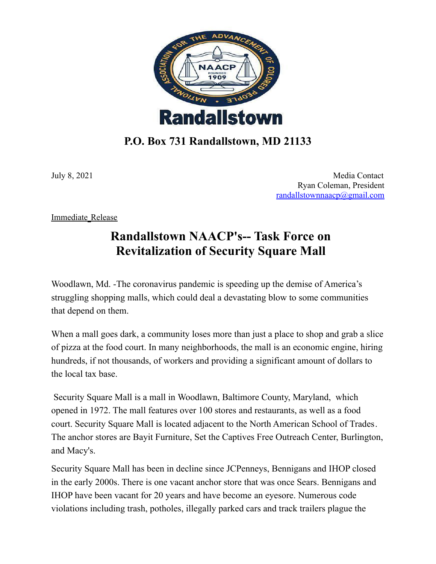

## **P.O. Box 731 Randallstown, MD 21133**

July 8, 2021 Media Contact Ryan Coleman, President [randallstownnaacp@gmail.com](mailto:randallstownnaacp@gmail.com)

Immediate Release

## **Randallstown NAACP's-- Task Force on Revitalization of Security Square Mall**

Woodlawn, Md. -The [coronavirus](https://www.cnbc.com/coronavirus/) pandemic is speeding up the demise of America's struggling shopping malls, which could deal a devastating blow to some communities that depend on them.

When a mall goes dark, a community loses more than just a place to shop and grab a slice of pizza at the food court. In many neighborhoods, the mall is an economic engine, hiring hundreds, if not thousands, of workers and providing a significant amount of dollars to the local tax base.

Security Square Mall is a mall in [Woodlawn,](https://en.wikipedia.org/wiki/Woodlawn,_Baltimore_County,_Maryland) Baltimore County, Maryland, which opened in 1972. The mall features over 100 stores and restaurants, as well as a food court. Security Square Mall is located adjacent to the North [American](https://en.wikipedia.org/wiki/North_American_School_of_Trades) School of Trades. The anchor stores are Bayit Furniture, Set the Captives Free Outreach Center, [Burlington,](https://en.wikipedia.org/wiki/Burlington_(department_store)) and [Macy's](https://en.wikipedia.org/wiki/Macy%27s).

Security Square Mall has been in decline since JCPenneys, Bennigans and IHOP closed in the early 2000s. There is one vacant anchor store that was once [Sears](https://en.wikipedia.org/wiki/Sears). Bennigans and IHOP have been vacant for 20 years and have become an eyesore. Numerous code violations including trash, potholes, illegally parked cars and track trailers plague the